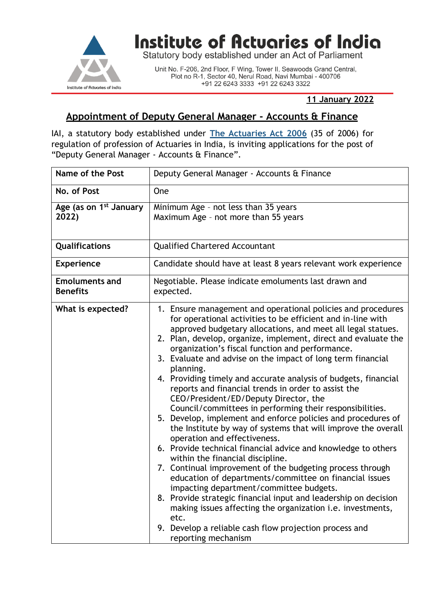

## Institute of Actuaries of India

Statutory body established under an Act of Parliament

Unit No. F-206, 2nd Floor, F Wing, Tower II, Seawoods Grand Central, Plot no R-1, Sector 40, Nerul Road, Navi Mumbai - 400706 +91 22 6243 3333 +91 22 6243 3322

## **11 January 2022**

## **Appointment of Deputy General Manager - Accounts & Finance**

IAI, a statutory body established under **[The Actuaries Act 2006](http://www.actuariesindia.org/guidance/scanned%20GN.pdf)** (35 of 2006) for regulation of profession of Actuaries in India, is inviting applications for the post of "Deputy General Manager - Accounts & Finance".

| <b>Name of the Post</b>                     | Deputy General Manager - Accounts & Finance                                                                                                                                                                                                                                                                                                                                                                                                                                                                                                                                                                                                                                                                                                                                                                                                                                                                                                                                                                                                                                                                                                                                                                                                                                                            |
|---------------------------------------------|--------------------------------------------------------------------------------------------------------------------------------------------------------------------------------------------------------------------------------------------------------------------------------------------------------------------------------------------------------------------------------------------------------------------------------------------------------------------------------------------------------------------------------------------------------------------------------------------------------------------------------------------------------------------------------------------------------------------------------------------------------------------------------------------------------------------------------------------------------------------------------------------------------------------------------------------------------------------------------------------------------------------------------------------------------------------------------------------------------------------------------------------------------------------------------------------------------------------------------------------------------------------------------------------------------|
| No. of Post                                 | <b>One</b>                                                                                                                                                                                                                                                                                                                                                                                                                                                                                                                                                                                                                                                                                                                                                                                                                                                                                                                                                                                                                                                                                                                                                                                                                                                                                             |
| Age (as on 1 <sup>st</sup> January<br>2022) | Minimum Age - not less than 35 years<br>Maximum Age - not more than 55 years                                                                                                                                                                                                                                                                                                                                                                                                                                                                                                                                                                                                                                                                                                                                                                                                                                                                                                                                                                                                                                                                                                                                                                                                                           |
| Qualifications                              | <b>Qualified Chartered Accountant</b>                                                                                                                                                                                                                                                                                                                                                                                                                                                                                                                                                                                                                                                                                                                                                                                                                                                                                                                                                                                                                                                                                                                                                                                                                                                                  |
| <b>Experience</b>                           | Candidate should have at least 8 years relevant work experience                                                                                                                                                                                                                                                                                                                                                                                                                                                                                                                                                                                                                                                                                                                                                                                                                                                                                                                                                                                                                                                                                                                                                                                                                                        |
| <b>Emoluments and</b><br><b>Benefits</b>    | Negotiable. Please indicate emoluments last drawn and<br>expected.                                                                                                                                                                                                                                                                                                                                                                                                                                                                                                                                                                                                                                                                                                                                                                                                                                                                                                                                                                                                                                                                                                                                                                                                                                     |
| What is expected?                           | 1. Ensure management and operational policies and procedures<br>for operational activities to be efficient and in-line with<br>approved budgetary allocations, and meet all legal statues.<br>2. Plan, develop, organize, implement, direct and evaluate the<br>organization's fiscal function and performance.<br>3. Evaluate and advise on the impact of long term financial<br>planning.<br>4. Providing timely and accurate analysis of budgets, financial<br>reports and financial trends in order to assist the<br>CEO/President/ED/Deputy Director, the<br>Council/committees in performing their responsibilities.<br>5. Develop, implement and enforce policies and procedures of<br>the Institute by way of systems that will improve the overall<br>operation and effectiveness.<br>6. Provide technical financial advice and knowledge to others<br>within the financial discipline.<br>7. Continual improvement of the budgeting process through<br>education of departments/committee on financial issues<br>impacting department/committee budgets.<br>8. Provide strategic financial input and leadership on decision<br>making issues affecting the organization <i>i.e.</i> investments,<br>etc.<br>Develop a reliable cash flow projection process and<br>9.<br>reporting mechanism |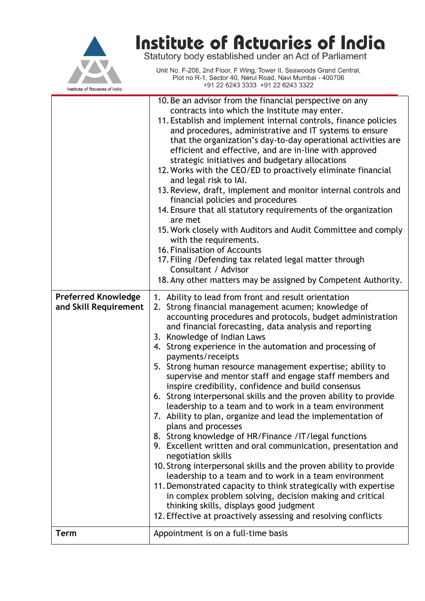

## **Institute of Actuaries of India**<br>Statutory body established under an Act of Parliament

Unit No. F-206, 2nd Floor, F Wing, Tower II, Seawoods Grand Central, Plot no R-1, Sector 40, Nerul Road, Navi Mumbai - 400706 +91 22 6243 3333 +91 22 6243 3322

|                                                     | 10. Be an advisor from the financial perspective on any<br>contracts into which the Institute may enter.                                                                                                                                                                                                                                                                                                                                                                                                                                                                                                                                                                                                                                                                                                                                                                                                                                                                                                                                                                                                                                                                                                        |
|-----------------------------------------------------|-----------------------------------------------------------------------------------------------------------------------------------------------------------------------------------------------------------------------------------------------------------------------------------------------------------------------------------------------------------------------------------------------------------------------------------------------------------------------------------------------------------------------------------------------------------------------------------------------------------------------------------------------------------------------------------------------------------------------------------------------------------------------------------------------------------------------------------------------------------------------------------------------------------------------------------------------------------------------------------------------------------------------------------------------------------------------------------------------------------------------------------------------------------------------------------------------------------------|
|                                                     | 11. Establish and implement internal controls, finance policies<br>and procedures, administrative and IT systems to ensure                                                                                                                                                                                                                                                                                                                                                                                                                                                                                                                                                                                                                                                                                                                                                                                                                                                                                                                                                                                                                                                                                      |
|                                                     | that the organization's day-to-day operational activities are                                                                                                                                                                                                                                                                                                                                                                                                                                                                                                                                                                                                                                                                                                                                                                                                                                                                                                                                                                                                                                                                                                                                                   |
|                                                     | efficient and effective, and are in-line with approved<br>strategic initiatives and budgetary allocations                                                                                                                                                                                                                                                                                                                                                                                                                                                                                                                                                                                                                                                                                                                                                                                                                                                                                                                                                                                                                                                                                                       |
|                                                     | 12. Works with the CEO/ED to proactively eliminate financial                                                                                                                                                                                                                                                                                                                                                                                                                                                                                                                                                                                                                                                                                                                                                                                                                                                                                                                                                                                                                                                                                                                                                    |
|                                                     | and legal risk to IAI.<br>13. Review, draft, implement and monitor internal controls and                                                                                                                                                                                                                                                                                                                                                                                                                                                                                                                                                                                                                                                                                                                                                                                                                                                                                                                                                                                                                                                                                                                        |
|                                                     | financial policies and procedures                                                                                                                                                                                                                                                                                                                                                                                                                                                                                                                                                                                                                                                                                                                                                                                                                                                                                                                                                                                                                                                                                                                                                                               |
|                                                     | 14. Ensure that all statutory requirements of the organization<br>are met                                                                                                                                                                                                                                                                                                                                                                                                                                                                                                                                                                                                                                                                                                                                                                                                                                                                                                                                                                                                                                                                                                                                       |
|                                                     | 15. Work closely with Auditors and Audit Committee and comply<br>with the requirements.                                                                                                                                                                                                                                                                                                                                                                                                                                                                                                                                                                                                                                                                                                                                                                                                                                                                                                                                                                                                                                                                                                                         |
|                                                     | 16. Finalisation of Accounts                                                                                                                                                                                                                                                                                                                                                                                                                                                                                                                                                                                                                                                                                                                                                                                                                                                                                                                                                                                                                                                                                                                                                                                    |
|                                                     | 17. Filing / Defending tax related legal matter through<br>Consultant / Advisor                                                                                                                                                                                                                                                                                                                                                                                                                                                                                                                                                                                                                                                                                                                                                                                                                                                                                                                                                                                                                                                                                                                                 |
|                                                     | 18. Any other matters may be assigned by Competent Authority.                                                                                                                                                                                                                                                                                                                                                                                                                                                                                                                                                                                                                                                                                                                                                                                                                                                                                                                                                                                                                                                                                                                                                   |
| <b>Preferred Knowledge</b><br>and Skill Requirement | 1. Ability to lead from front and result orientation<br>2. Strong financial management acumen; knowledge of<br>accounting procedures and protocols, budget administration<br>and financial forecasting, data analysis and reporting<br>3. Knowledge of Indian Laws<br>4. Strong experience in the automation and processing of<br>payments/receipts<br>5. Strong human resource management expertise; ability to<br>supervise and mentor staff and engage staff members and<br>inspire credibility, confidence and build consensus<br>6. Strong interpersonal skills and the proven ability to provide<br>leadership to a team and to work in a team environment<br>7. Ability to plan, organize and lead the implementation of<br>plans and processes<br>8. Strong knowledge of HR/Finance /IT/legal functions<br>9. Excellent written and oral communication, presentation and<br>negotiation skills<br>10. Strong interpersonal skills and the proven ability to provide<br>leadership to a team and to work in a team environment<br>11. Demonstrated capacity to think strategically with expertise<br>in complex problem solving, decision making and critical<br>thinking skills, displays good judgment |
| Term                                                | 12. Effective at proactively assessing and resolving conflicts<br>Appointment is on a full-time basis                                                                                                                                                                                                                                                                                                                                                                                                                                                                                                                                                                                                                                                                                                                                                                                                                                                                                                                                                                                                                                                                                                           |
|                                                     |                                                                                                                                                                                                                                                                                                                                                                                                                                                                                                                                                                                                                                                                                                                                                                                                                                                                                                                                                                                                                                                                                                                                                                                                                 |